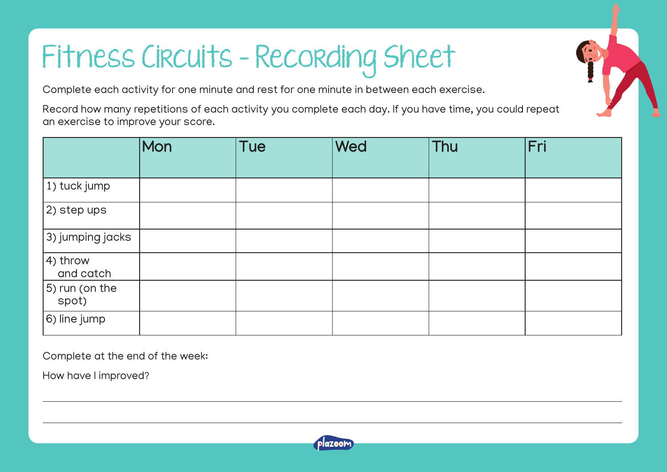## Fitness Circuits – Recording Sheet

Complete each activity for one minute and rest for one minute in between each exercise.

Record how many repetitions of each activity you complete each day. If you have time, you could repeat an exercise to improve your score.

|                                 | Mon | <b>Tue</b> | Wed | Thu | Fri |
|---------------------------------|-----|------------|-----|-----|-----|
| $ 1)$ tuck jump                 |     |            |     |     |     |
| $ 2\rangle$ step ups            |     |            |     |     |     |
| $ $ 3) jumping jacks            |     |            |     |     |     |
| $\vert$ 4) throw<br>and catch   |     |            |     |     |     |
| $\vert$ 5) run (on the<br>spot) |     |            |     |     |     |
| $ 6)$ line jump                 |     |            |     |     |     |

Complete at the end of the week:

How have I improved?